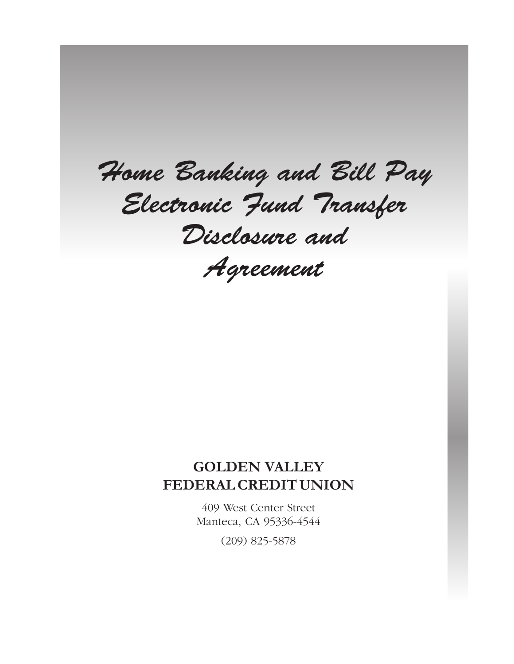*Home Banking and Bill Pay Electronic Fund Transfer Disclosure and Agreement*

# **GOLDEN VALLEY FEDERAL CREDIT UNION**

409 West Center Street Manteca, CA 95336-4544 (209) 825-5878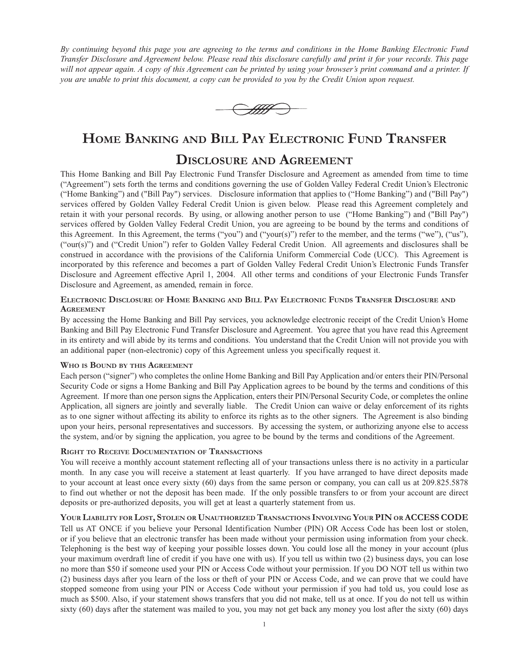*By continuing beyond this page you are agreeing to the terms and conditions in the Home Banking Electronic Fund Transfer Disclosure and Agreement below. Please read this disclosure carefully and print it for your records. This page will not appear again. A copy of this Agreement can be printed by using your browser's print command and a printer. If you are unable to print this document, a copy can be provided to you by the Credit Union upon request.*



# **Home Banking and Bill Pay Electronic Fund Transfer**

# **Disclosure and Agreement**

This Home Banking and Bill Pay Electronic Fund Transfer Disclosure and Agreement as amended from time to time ("Agreement") sets forth the terms and conditions governing the use of Golden Valley Federal Credit Union's Electronic ("Home Banking") and ("Bill Pay") services. Disclosure information that applies to ("Home Banking") and ("Bill Pay") services offered by Golden Valley Federal Credit Union is given below. Please read this Agreement completely and retain it with your personal records. By using, or allowing another person to use ("Home Banking") and ("Bill Pay") services offered by Golden Valley Federal Credit Union, you are agreeing to be bound by the terms and conditions of this Agreement. In this Agreement, the terms ("you") and ("your(s)") refer to the member, and the terms ("we"), ("us"), ("our(s)") and ("Credit Union") refer to Golden Valley Federal Credit Union. All agreements and disclosures shall be construed in accordance with the provisions of the California Uniform Commercial Code (UCC). This Agreement is incorporated by this reference and becomes a part of Golden Valley Federal Credit Union's Electronic Funds Transfer Disclosure and Agreement effective April 1, 2004. All other terms and conditions of your Electronic Funds Transfer Disclosure and Agreement, as amended, remain in force.

# **Electronic Disclosure of Home Banking and Bill Pay Electronic Funds Transfer Disclosure and Agreement**

By accessing the Home Banking and Bill Pay services, you acknowledge electronic receipt of the Credit Union's Home Banking and Bill Pay Electronic Fund Transfer Disclosure and Agreement. You agree that you have read this Agreement in its entirety and will abide by its terms and conditions. You understand that the Credit Union will not provide you with an additional paper (non-electronic) copy of this Agreement unless you specifically request it.

# **Who is Bound by this Agreement**

Each person ("signer") who completes the online Home Banking and Bill Pay Application and/or enters their PIN/Personal Security Code or signs a Home Banking and Bill Pay Application agrees to be bound by the terms and conditions of this Agreement. If more than one person signs the Application, enters their PIN/Personal Security Code, or completes the online Application, all signers are jointly and severally liable. The Credit Union can waive or delay enforcement of its rights as to one signer without affecting its ability to enforce its rights as to the other signers. The Agreement is also binding upon your heirs, personal representatives and successors. By accessing the system, or authorizing anyone else to access the system, and/or by signing the application, you agree to be bound by the terms and conditions of the Agreement.

# **Right to Receive Documentation of Transactions**

You will receive a monthly account statement reflecting all of your transactions unless there is no activity in a particular month. In any case you will receive a statement at least quarterly. If you have arranged to have direct deposits made to your account at least once every sixty (60) days from the same person or company, you can call us at 209.825.5878 to find out whether or not the deposit has been made. If the only possible transfers to or from your account are direct deposits or pre-authorized deposits, you will get at least a quarterly statement from us.

# **Your Liability for Lost, Stolen or Unauthorized Transactions Involving Your PIN or ACCESS CODE**

Tell us AT ONCE if you believe your Personal Identification Number (PIN) OR Access Code has been lost or stolen, or if you believe that an electronic transfer has been made without your permission using information from your check. Telephoning is the best way of keeping your possible losses down. You could lose all the money in your account (plus your maximum overdraft line of credit if you have one with us). If you tell us within two (2) business days, you can lose no more than \$50 if someone used your PIN or Access Code without your permission. If you DO NOT tell us within two (2) business days after you learn of the loss or theft of your PIN or Access Code, and we can prove that we could have stopped someone from using your PIN or Access Code without your permission if you had told us, you could lose as much as \$500. Also, if your statement shows transfers that you did not make, tell us at once. If you do not tell us within sixty (60) days after the statement was mailed to you, you may not get back any money you lost after the sixty (60) days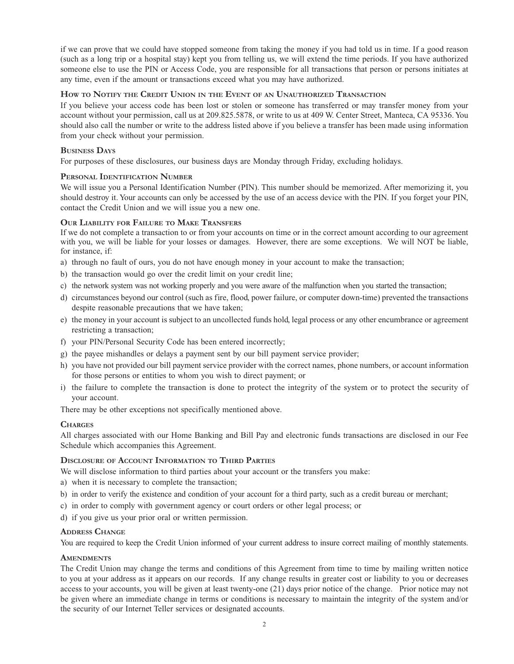if we can prove that we could have stopped someone from taking the money if you had told us in time. If a good reason (such as a long trip or a hospital stay) kept you from telling us, we will extend the time periods. If you have authorized someone else to use the PIN or Access Code, you are responsible for all transactions that person or persons initiates at any time, even if the amount or transactions exceed what you may have authorized.

# **How to Notify the Credit Union in the Event of an Unauthorized Transaction**

If you believe your access code has been lost or stolen or someone has transferred or may transfer money from your account without your permission, call us at 209.825.5878, or write to us at 409 W. Center Street, Manteca, CA 95336. You should also call the number or write to the address listed above if you believe a transfer has been made using information from your check without your permission.

### **Business Days**

For purposes of these disclosures, our business days are Monday through Friday, excluding holidays.

#### **Personal Identification Number**

We will issue you a Personal Identification Number (PIN). This number should be memorized. After memorizing it, you should destroy it. Your accounts can only be accessed by the use of an access device with the PIN. If you forget your PIN, contact the Credit Union and we will issue you a new one.

#### **Our Liability for Failure to Make Transfers**

If we do not complete a transaction to or from your accounts on time or in the correct amount according to our agreement with you, we will be liable for your losses or damages. However, there are some exceptions. We will NOT be liable, for instance, if:

- a) through no fault of ours, you do not have enough money in your account to make the transaction;
- b) the transaction would go over the credit limit on your credit line;
- c) the network system was not working properly and you were aware of the malfunction when you started the transaction;
- d) circumstances beyond our control (such as fire, flood, power failure, or computer down-time) prevented the transactions despite reasonable precautions that we have taken;
- e) the money in your account is subject to an uncollected funds hold, legal process or any other encumbrance or agreement restricting a transaction;
- f) your PIN/Personal Security Code has been entered incorrectly;
- g) the payee mishandles or delays a payment sent by our bill payment service provider;
- h) you have not provided our bill payment service provider with the correct names, phone numbers, or account information for those persons or entities to whom you wish to direct payment; or
- i) the failure to complete the transaction is done to protect the integrity of the system or to protect the security of your account.

There may be other exceptions not specifically mentioned above.

# **Charges**

All charges associated with our Home Banking and Bill Pay and electronic funds transactions are disclosed in our Fee Schedule which accompanies this Agreement.

#### **Disclosure of Account Information to Third Parties**

We will disclose information to third parties about your account or the transfers you make:

- a) when it is necessary to complete the transaction;
- b) in order to verify the existence and condition of your account for a third party, such as a credit bureau or merchant;
- c) in order to comply with government agency or court orders or other legal process; or
- d) if you give us your prior oral or written permission.

#### **Address Change**

You are required to keep the Credit Union informed of your current address to insure correct mailing of monthly statements.

#### **AMENDMENTS**

The Credit Union may change the terms and conditions of this Agreement from time to time by mailing written notice to you at your address as it appears on our records. If any change results in greater cost or liability to you or decreases access to your accounts, you will be given at least twenty-one (21) days prior notice of the change. Prior notice may not be given where an immediate change in terms or conditions is necessary to maintain the integrity of the system and/or the security of our Internet Teller services or designated accounts.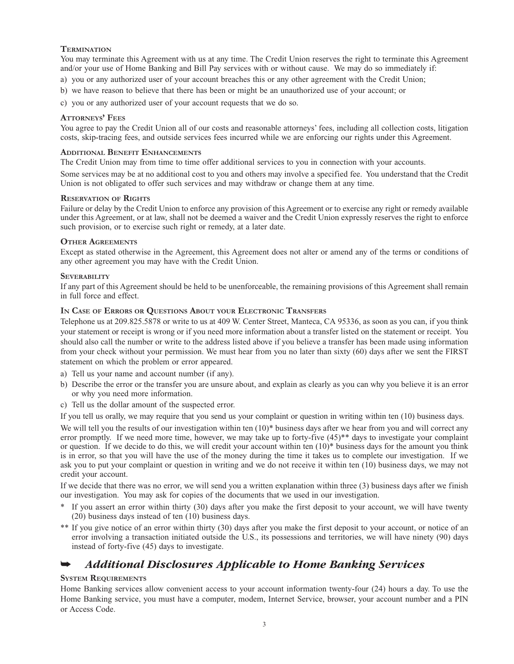# **Termination**

You may terminate this Agreement with us at any time. The Credit Union reserves the right to terminate this Agreement and/or your use of Home Banking and Bill Pay services with or without cause. We may do so immediately if:

- a) you or any authorized user of your account breaches this or any other agreement with the Credit Union;
- b) we have reason to believe that there has been or might be an unauthorized use of your account; or
- c) you or any authorized user of your account requests that we do so.

# **Attorneys' Fees**

You agree to pay the Credit Union all of our costs and reasonable attorneys' fees, including all collection costs, litigation costs, skip-tracing fees, and outside services fees incurred while we are enforcing our rights under this Agreement.

#### **Additional Benefit Enhancements**

The Credit Union may from time to time offer additional services to you in connection with your accounts.

Some services may be at no additional cost to you and others may involve a specified fee. You understand that the Credit Union is not obligated to offer such services and may withdraw or change them at any time.

#### **Reservation of Rights**

Failure or delay by the Credit Union to enforce any provision of this Agreement or to exercise any right or remedy available under this Agreement, or at law, shall not be deemed a waiver and the Credit Union expressly reserves the right to enforce such provision, or to exercise such right or remedy, at a later date.

#### **Other Agreements**

Except as stated otherwise in the Agreement, this Agreement does not alter or amend any of the terms or conditions of any other agreement you may have with the Credit Union.

#### **Severability**

If any part of this Agreement should be held to be unenforceable, the remaining provisions of this Agreement shall remain in full force and effect.

#### **In Case of Errors or Questions About your Electronic Transfers**

Telephone us at 209.825.5878 or write to us at 409 W. Center Street, Manteca, CA 95336, as soon as you can, if you think your statement or receipt is wrong or if you need more information about a transfer listed on the statement or receipt. You should also call the number or write to the address listed above if you believe a transfer has been made using information from your check without your permission. We must hear from you no later than sixty (60) days after we sent the FIRST statement on which the problem or error appeared.

- a) Tell us your name and account number (if any).
- b) Describe the error or the transfer you are unsure about, and explain as clearly as you can why you believe it is an error or why you need more information.
- c) Tell us the dollar amount of the suspected error.

If you tell us orally, we may require that you send us your complaint or question in writing within ten (10) business days.

We will tell you the results of our investigation within ten  $(10)*$  business days after we hear from you and will correct any error promptly. If we need more time, however, we may take up to forty-five  $(45)$ <sup>\*\*</sup> days to investigate your complaint or question. If we decide to do this, we will credit your account within ten  $(10)^*$  business days for the amount you think is in error, so that you will have the use of the money during the time it takes us to complete our investigation. If we ask you to put your complaint or question in writing and we do not receive it within ten (10) business days, we may not credit your account.

If we decide that there was no error, we will send you a written explanation within three (3) business days after we finish our investigation. You may ask for copies of the documents that we used in our investigation.

- If you assert an error within thirty (30) days after you make the first deposit to your account, we will have twenty (20) business days instead of ten (10) business days.
- \*\* If you give notice of an error within thirty (30) days after you make the first deposit to your account, or notice of an error involving a transaction initiated outside the U.S., its possessions and territories, we will have ninety (90) days instead of forty-five (45) days to investigate.

# *Additional Disclosures Applicable to Home Banking Services*

# **System Requirements**

Home Banking services allow convenient access to your account information twenty-four (24) hours a day. To use the Home Banking service, you must have a computer, modem, Internet Service, browser, your account number and a PIN or Access Code.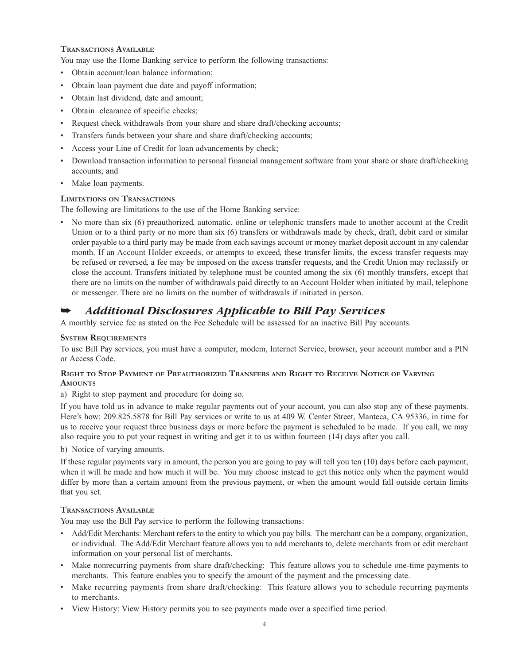# **Transactions Available**

You may use the Home Banking service to perform the following transactions:

- Obtain account/loan balance information;
- Obtain loan payment due date and payoff information;
- Obtain last dividend, date and amount;
- Obtain clearance of specific checks;
- Request check withdrawals from your share and share draft/checking accounts;
- Transfers funds between your share and share draft/checking accounts;
- Access your Line of Credit for loan advancements by check;
- Download transaction information to personal financial management software from your share or share draft/checking accounts; and
- Make loan payments.

# **Limitations on Transactions**

The following are limitations to the use of the Home Banking service:

• No more than six (6) preauthorized, automatic, online or telephonic transfers made to another account at the Credit Union or to a third party or no more than six (6) transfers or withdrawals made by check, draft, debit card or similar order payable to a third party may be made from each savings account or money market deposit account in any calendar month. If an Account Holder exceeds, or attempts to exceed, these transfer limits, the excess transfer requests may be refused or reversed, a fee may be imposed on the excess transfer requests, and the Credit Union may reclassify or close the account. Transfers initiated by telephone must be counted among the six (6) monthly transfers, except that there are no limits on the number of withdrawals paid directly to an Account Holder when initiated by mail, telephone or messenger. There are no limits on the number of withdrawals if initiated in person.

# *Additional Disclosures Applicable to Bill Pay Services*

A monthly service fee as stated on the Fee Schedule will be assessed for an inactive Bill Pay accounts.

# **System Requirements**

To use Bill Pay services, you must have a computer, modem, Internet Service, browser, your account number and a PIN or Access Code.

# **Right to Stop Payment of Preauthorized Transfers and Right to Receive Notice of Varying** AMOUNTS

a) Right to stop payment and procedure for doing so.

If you have told us in advance to make regular payments out of your account, you can also stop any of these payments. Here's how: 209.825.5878 for Bill Pay services or write to us at 409 W. Center Street, Manteca, CA 95336, in time for us to receive your request three business days or more before the payment is scheduled to be made. If you call, we may also require you to put your request in writing and get it to us within fourteen (14) days after you call.

b) Notice of varying amounts.

If these regular payments vary in amount, the person you are going to pay will tell you ten (10) days before each payment, when it will be made and how much it will be. You may choose instead to get this notice only when the payment would differ by more than a certain amount from the previous payment, or when the amount would fall outside certain limits that you set.

# **Transactions Available**

You may use the Bill Pay service to perform the following transactions:

- Add/Edit Merchants: Merchant refers to the entity to which you pay bills. The merchant can be a company, organization, or individual. The Add/Edit Merchant feature allows you to add merchants to, delete merchants from or edit merchant information on your personal list of merchants.
- Make nonrecurring payments from share draft/checking: This feature allows you to schedule one-time payments to merchants. This feature enables you to specify the amount of the payment and the processing date.
- Make recurring payments from share draft/checking: This feature allows you to schedule recurring payments to merchants.
- View History: View History permits you to see payments made over a specified time period.